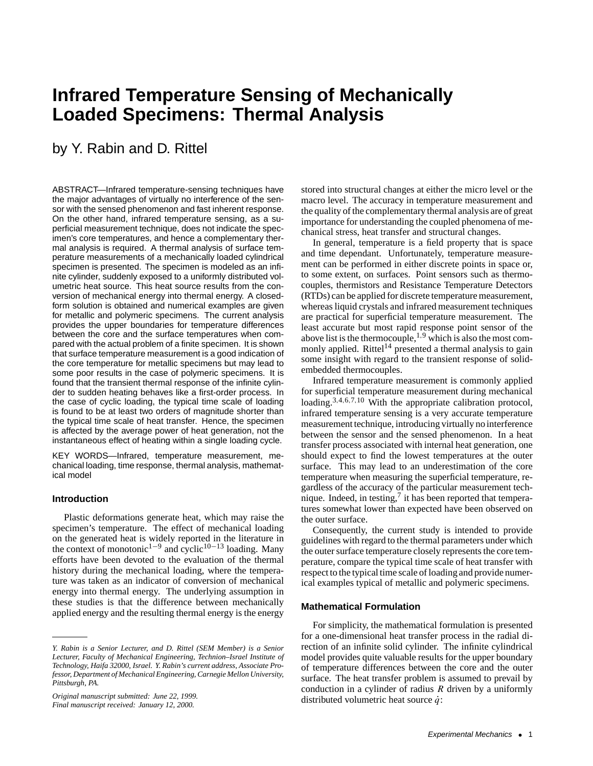# **Infrared Temperature Sensing of Mechanically Loaded Specimens: Thermal Analysis**

# by Y. Rabin and D. Rittel

ABSTRACT—Infrared temperature-sensing techniques have the major advantages of virtually no interference of the sensor with the sensed phenomenon and fast inherent response. On the other hand, infrared temperature sensing, as a superficial measurement technique, does not indicate the specimen's core temperatures, and hence a complementary thermal analysis is required. A thermal analysis of surface temperature measurements of a mechanically loaded cylindrical specimen is presented. The specimen is modeled as an infinite cylinder, suddenly exposed to a uniformly distributed volumetric heat source. This heat source results from the conversion of mechanical energy into thermal energy. A closedform solution is obtained and numerical examples are given for metallic and polymeric specimens. The current analysis provides the upper boundaries for temperature differences between the core and the surface temperatures when compared with the actual problem of a finite specimen. It is shown that surface temperature measurement is a good indication of the core temperature for metallic specimens but may lead to some poor results in the case of polymeric specimens. It is found that the transient thermal response of the infinite cylinder to sudden heating behaves like a first-order process. In the case of cyclic loading, the typical time scale of loading is found to be at least two orders of magnitude shorter than the typical time scale of heat transfer. Hence, the specimen is affected by the average power of heat generation, not the instantaneous effect of heating within a single loading cycle.

KEY WORDS—Infrared, temperature measurement, mechanical loading, time response, thermal analysis, mathematical model

#### **Introduction**

Plastic deformations generate heat, which may raise the specimen's temperature. The effect of mechanical loading on the generated heat is widely reported in the literature in the context of monotonic<sup>1−9</sup> and cyclic<sup>10−13</sup> loading. Many efforts have been devoted to the evaluation of the thermal history during the mechanical loading, where the temperature was taken as an indicator of conversion of mechanical energy into thermal energy. The underlying assumption in these studies is that the difference between mechanically applied energy and the resulting thermal energy is the energy stored into structural changes at either the micro level or the macro level. The accuracy in temperature measurement and the quality of the complementary thermal analysis are of great importance for understanding the coupled phenomena of mechanical stress, heat transfer and structural changes.

In general, temperature is a field property that is space and time dependant. Unfortunately, temperature measurement can be performed in either discrete points in space or, to some extent, on surfaces. Point sensors such as thermocouples, thermistors and Resistance Temperature Detectors (RTDs) can be applied for discrete temperature measurement, whereas liquid crystals and infrared measurement techniques are practical for superficial temperature measurement. The least accurate but most rapid response point sensor of the above list is the thermocouple,  $1,9$  which is also the most commonly applied. Rittel<sup>14</sup> presented a thermal analysis to gain some insight with regard to the transient response of solidembedded thermocouples.

Infrared temperature measurement is commonly applied for superficial temperature measurement during mechanical loading.<sup>3,4,6,7,10</sup> With the appropriate calibration protocol, infrared temperature sensing is a very accurate temperature measurement technique, introducing virtually no interference between the sensor and the sensed phenomenon. In a heat transfer process associated with internal heat generation, one should expect to find the lowest temperatures at the outer surface. This may lead to an underestimation of the core temperature when measuring the superficial temperature, regardless of the accuracy of the particular measurement technique. Indeed, in testing, $\frac{7}{1}$  it has been reported that temperatures somewhat lower than expected have been observed on the outer surface.

Consequently, the current study is intended to provide guidelines with regard to the thermal parameters under which the outer surface temperature closely represents the core temperature, compare the typical time scale of heat transfer with respect to the typical time scale of loading and provide numerical examples typical of metallic and polymeric specimens.

#### **Mathematical Formulation**

For simplicity, the mathematical formulation is presented for a one-dimensional heat transfer process in the radial direction of an infinite solid cylinder. The infinite cylindrical model provides quite valuable results for the upper boundary of temperature differences between the core and the outer surface. The heat transfer problem is assumed to prevail by conduction in a cylinder of radius  $R$  driven by a uniformly distributed volumetric heat source  $\dot{q}$ :

*Y. Rabin is a Senior Lecturer, and D. Rittel (SEM Member) is a Senior Lecturer, Faculty of Mechanical Engineering, Technion–Israel Institute of Technology, Haifa 32000, Israel. Y. Rabin's current address, Associate Professor, Department of Mechanical Engineering, Carnegie Mellon University, Pittsburgh, PA.*

*Original manuscript submitted: June 22, 1999. Final manuscript received: January 12, 2000.*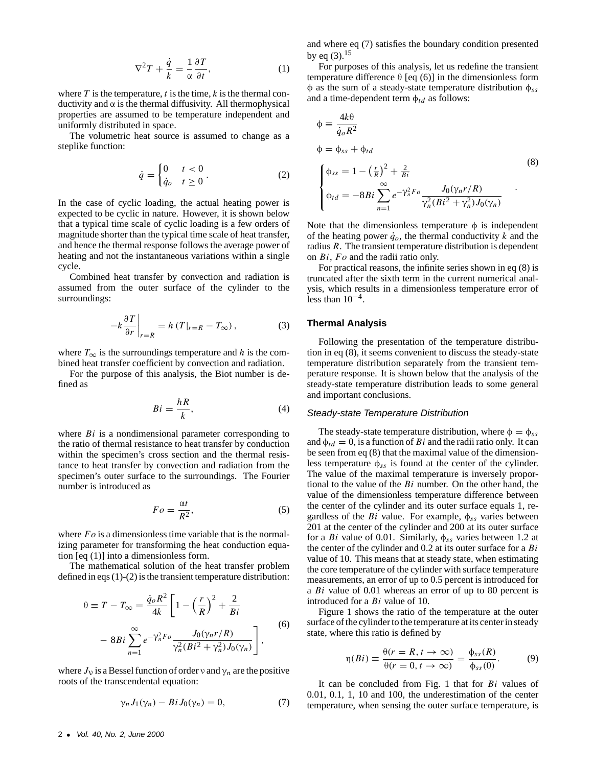$$
\nabla^2 T + \frac{\dot{q}}{k} = \frac{1}{\alpha} \frac{\partial T}{\partial t},\tag{1}
$$

where  $T$  is the temperature,  $t$  is the time,  $k$  is the thermal conductivity and α is the thermal diffusivity. All thermophysical properties are assumed to be temperature independent and uniformly distributed in space.

The volumetric heat source is assumed to change as a steplike function:

$$
\dot{q} = \begin{cases} 0 & t < 0 \\ \dot{q}_o & t \ge 0 \end{cases} \tag{2}
$$

In the case of cyclic loading, the actual heating power is expected to be cyclic in nature. However, it is shown below that a typical time scale of cyclic loading is a few orders of magnitude shorter than the typical time scale of heat transfer, and hence the thermal response follows the average power of heating and not the instantaneous variations within a single cycle.

Combined heat transfer by convection and radiation is assumed from the outer surface of the cylinder to the surroundings:

$$
-k\frac{\partial T}{\partial r}\bigg|_{r=R} = h(T|_{r=R} - T_{\infty}),\tag{3}
$$

where  $T_{\infty}$  is the surroundings temperature and h is the combined heat transfer coefficient by convection and radiation.

For the purpose of this analysis, the Biot number is defined as

$$
Bi = \frac{hR}{k},\tag{4}
$$

where  $Bi$  is a nondimensional parameter corresponding to the ratio of thermal resistance to heat transfer by conduction within the specimen's cross section and the thermal resistance to heat transfer by convection and radiation from the specimen's outer surface to the surroundings. The Fourier number is introduced as

$$
Fo = \frac{\alpha t}{R^2},\tag{5}
$$

where  $Fo$  is a dimensionless time variable that is the normalizing parameter for transforming the heat conduction equation [eq (1)] into a dimensionless form.

The mathematical solution of the heat transfer problem defined in eqs (1)-(2) is the transient temperature distribution:

$$
\theta \equiv T - T_{\infty} = \frac{\dot{q}_o R^2}{4k} \left[ 1 - \left(\frac{r}{R}\right)^2 + \frac{2}{Bi} \right]
$$

$$
- 8Bi \sum_{n=1}^{\infty} e^{-\gamma_n^2 F_o} \frac{J_0(\gamma_n r/R)}{\gamma_n^2 (Bi^2 + \gamma_n^2) J_0(\gamma_n)} \right],
$$
(6)

where  $J_{\nu}$  is a Bessel function of order  $\nu$  and  $\gamma_n$  are the positive roots of the transcendental equation:

$$
\gamma_n J_1(\gamma_n) - Bi J_0(\gamma_n) = 0, \qquad (7)
$$

For purposes of this analysis, let us redefine the transient temperature difference  $θ$  [eq (6)] in the dimensionless form  $\phi$  as the sum of a steady-state temperature distribution  $\phi_{ss}$ and a time-dependent term  $\phi_{td}$  as follows:

$$
\begin{aligned}\n\phi &= \frac{4k\theta}{\dot{q}_o R^2} \\
\phi &= \phi_{ss} + \phi_{td} \\
\begin{cases}\n\phi_{ss} &= 1 - \left(\frac{r}{R}\right)^2 + \frac{2}{Bi} \\
\phi_{td} &= -8Bi \sum_{n=1}^{\infty} e^{-\gamma_n^2 F_o} \frac{J_0(\gamma_n r/R)}{\gamma_n^2 (Bi^2 + \gamma_n^2) J_0(\gamma_n)}\n\end{cases} \tag{8}\n\end{aligned}
$$

Note that the dimensionless temperature  $\phi$  is independent of the heating power  $\dot{q}_o$ , the thermal conductivity k and the radius R. The transient temperature distribution is dependent on  $Bi$ ,  $Fo$  and the radii ratio only.

For practical reasons, the infinite series shown in eq (8) is truncated after the sixth term in the current numerical analysis, which results in a dimensionless temperature error of less than  $10^{-4}$ .

# **Thermal Analysis**

Following the presentation of the temperature distribution in eq (8), it seems convenient to discuss the steady-state temperature distribution separately from the transient temperature response. It is shown below that the analysis of the steady-state temperature distribution leads to some general and important conclusions.

#### Steady-state Temperature Distribution

The steady-state temperature distribution, where  $\phi = \phi_{ss}$ and  $\phi_{td} = 0$ , is a function of Bi and the radii ratio only. It can be seen from eq (8) that the maximal value of the dimensionless temperature  $\phi_{ss}$  is found at the center of the cylinder. The value of the maximal temperature is inversely proportional to the value of the  $Bi$  number. On the other hand, the value of the dimensionless temperature difference between the center of the cylinder and its outer surface equals 1, regardless of the  $Bi$  value. For example,  $\phi_{ss}$  varies between 201 at the center of the cylinder and 200 at its outer surface for a Bi value of 0.01. Similarly,  $\phi_{ss}$  varies between 1.2 at the center of the cylinder and  $0.2$  at its outer surface for a  $Bi$ value of 10. This means that at steady state, when estimating the core temperature of the cylinder with surface temperature measurements, an error of up to 0.5 percent is introduced for a Bi value of 0.01 whereas an error of up to 80 percent is introduced for a Bi value of 10.

Figure 1 shows the ratio of the temperature at the outer surface of the cylinder to the temperature at its center in steady state, where this ratio is defined by

$$
\eta(Bi) \equiv \frac{\theta(r = R, t \to \infty)}{\theta(r = 0, t \to \infty)} = \frac{\phi_{ss}(R)}{\phi_{ss}(0)}.
$$
 (9)

It can be concluded from Fig. 1 that for Bi values of 0.01, 0.1, 1, 10 and 100, the underestimation of the center temperature, when sensing the outer surface temperature, is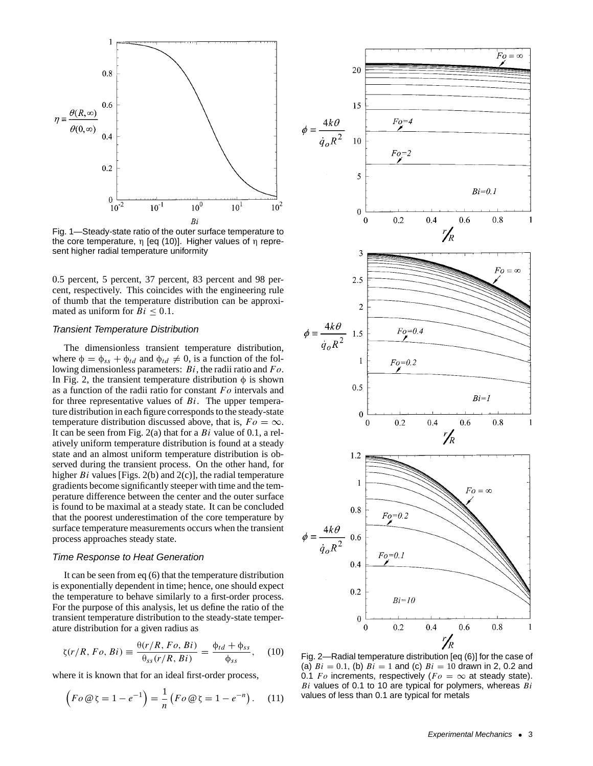

Fig. 1—Steady-state ratio of the outer surface temperature to the core temperature, η [eq (10)]. Higher values of η represent higher radial temperature uniformity

0.5 percent, 5 percent, 37 percent, 83 percent and 98 percent, respectively. This coincides with the engineering rule of thumb that the temperature distribution can be approximated as uniform for  $Bi \leq 0.1$ .

### Transient Temperature Distribution

The dimensionless transient temperature distribution, where  $\phi = \phi_{ss} + \phi_{td}$  and  $\phi_{td} \neq 0$ , is a function of the following dimensionless parameters:  $Bi$ , the radii ratio and  $Fo$ . In Fig. 2, the transient temperature distribution  $\phi$  is shown as a function of the radii ratio for constant  $Fo$  intervals and for three representative values of  $Bi$ . The upper temperature distribution in each figure corresponds to the steady-state temperature distribution discussed above, that is,  $Fo = \infty$ . It can be seen from Fig. 2(a) that for a  $Bi$  value of 0.1, a relatively uniform temperature distribution is found at a steady state and an almost uniform temperature distribution is observed during the transient process. On the other hand, for higher  $Bi$  values [Figs. 2(b) and 2(c)], the radial temperature gradients become significantly steeper with time and the temperature difference between the center and the outer surface is found to be maximal at a steady state. It can be concluded that the poorest underestimation of the core temperature by surface temperature measurements occurs when the transient process approaches steady state.

#### Time Response to Heat Generation

It can be seen from eq (6) that the temperature distribution is exponentially dependent in time; hence, one should expect the temperature to behave similarly to a first-order process. For the purpose of this analysis, let us define the ratio of the transient temperature distribution to the steady-state temperature distribution for a given radius as

$$
\zeta(r/R, Fo, Bi) \equiv \frac{\theta(r/R, Fo, Bi)}{\theta_{ss}(r/R, Bi)} = \frac{\phi_{td} + \phi_{ss}}{\phi_{ss}}, \quad (10)
$$

where it is known that for an ideal first-order process,

$$
\left(Fo \circledast \zeta = 1 - e^{-1}\right) = \frac{1}{n} \left(Fo \circledast \zeta = 1 - e^{-n}\right). \quad (11)
$$



Fig. 2—Radial temperature distribution [eq (6)] for the case of (a)  $Bi = 0.1$ , (b)  $Bi = 1$  and (c)  $Bi = 10$  drawn in 2, 0.2 and 0.1 Fo increments, respectively (F $o = \infty$  at steady state).  $Bi$  values of 0.1 to 10 are typical for polymers, whereas  $Bi$ values of less than 0.1 are typical for metals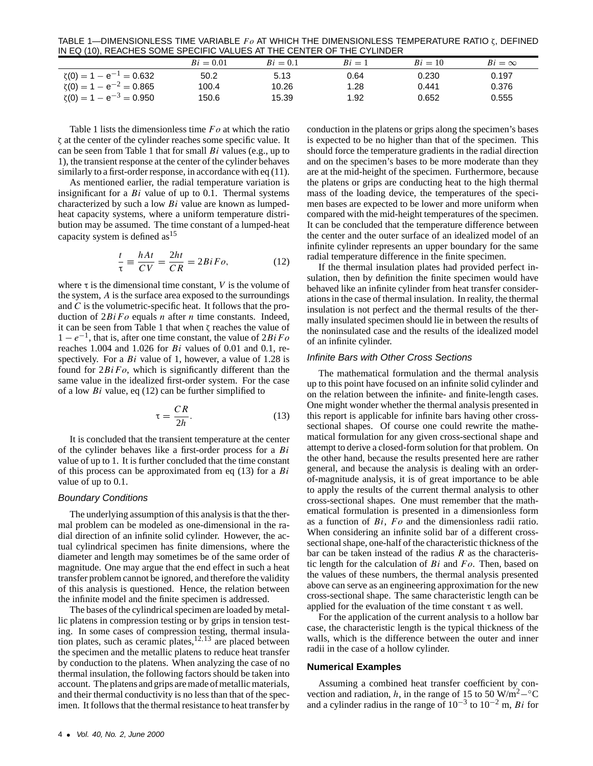TABLE 1—DIMENSIONLESS TIME VARIABLE  $F \text{o}$  AT WHICH THE DIMENSIONLESS TEMPERATURE RATIO  $\zeta$ , DEFINED IN EQ (10), REACHES SOME SPECIFIC VALUES AT THE CENTER OF THE CYLINDER

| .<br>$-11$                      |             |            |          |           |               |
|---------------------------------|-------------|------------|----------|-----------|---------------|
|                                 | $Bi = 0.01$ | $Bi = 0.1$ | $Bi = 1$ | $Bi = 10$ | $Bi = \infty$ |
| $\zeta(0) = 1 - e^{-1} = 0.632$ | 50.2        | 5.13       | 0.64     | 0.230     | 0.197         |
| $\zeta(0) = 1 - e^{-2} = 0.865$ | 100.4       | 10.26      | 1.28     | 0.441     | 0.376         |
| $\zeta(0) = 1 - e^{-3} = 0.950$ | 150.6       | 15.39      | 1.92     | 0.652     | 0.555         |

Table 1 lists the dimensionless time  $Fo$  at which the ratio ζ at the center of the cylinder reaches some specific value. It can be seen from Table 1 that for small  $Bi$  values (e.g., up to 1), the transient response at the center of the cylinder behaves similarly to a first-order response, in accordance with eq (11).

As mentioned earlier, the radial temperature variation is insignificant for a  $Bi$  value of up to 0.1. Thermal systems characterized by such a low  $Bi$  value are known as lumpedheat capacity systems, where a uniform temperature distribution may be assumed. The time constant of a lumped-heat capacity system is defined as  $15$ 

$$
\frac{t}{\tau} \equiv \frac{hAt}{CV} = \frac{2ht}{CR} = 2BiFo,
$$
\n(12)

where  $\tau$  is the dimensional time constant, V is the volume of the system, A is the surface area exposed to the surroundings and C is the volumetric-specific heat. It follows that the production of  $2BiFo$  equals *n* after *n* time constants. Indeed, it can be seen from Table 1 that when ζ reaches the value of  $1 - e^{-1}$ , that is, after one time constant, the value of  $2BiFo$ reaches 1.004 and 1.026 for Bi values of 0.01 and 0.1, respectively. For a  $Bi$  value of 1, however, a value of 1.28 is found for  $2BiFo$ , which is significantly different than the same value in the idealized first-order system. For the case of a low  $Bi$  value, eq (12) can be further simplified to

$$
\tau = \frac{CR}{2h}.\tag{13}
$$

It is concluded that the transient temperature at the center of the cylinder behaves like a first-order process for a Bi value of up to 1. It is further concluded that the time constant of this process can be approximated from eq  $(13)$  for a Bi value of up to 0.1.

#### Boundary Conditions

The underlying assumption of this analysis is that the thermal problem can be modeled as one-dimensional in the radial direction of an infinite solid cylinder. However, the actual cylindrical specimen has finite dimensions, where the diameter and length may sometimes be of the same order of magnitude. One may argue that the end effect in such a heat transfer problem cannot be ignored, and therefore the validity of this analysis is questioned. Hence, the relation between the infinite model and the finite specimen is addressed.

The bases of the cylindrical specimen are loaded by metallic platens in compression testing or by grips in tension testing. In some cases of compression testing, thermal insulation plates, such as ceramic plates,  $12,13$  are placed between the specimen and the metallic platens to reduce heat transfer by conduction to the platens. When analyzing the case of no thermal insulation, the following factors should be taken into account. The platens and grips are made of metallic materials, and their thermal conductivity is no less than that of the specimen. It follows that the thermal resistance to heat transfer by conduction in the platens or grips along the specimen's bases is expected to be no higher than that of the specimen. This should force the temperature gradients in the radial direction and on the specimen's bases to be more moderate than they are at the mid-height of the specimen. Furthermore, because the platens or grips are conducting heat to the high thermal mass of the loading device, the temperatures of the specimen bases are expected to be lower and more uniform when compared with the mid-height temperatures of the specimen. It can be concluded that the temperature difference between the center and the outer surface of an idealized model of an infinite cylinder represents an upper boundary for the same radial temperature difference in the finite specimen.

If the thermal insulation plates had provided perfect insulation, then by definition the finite specimen would have behaved like an infinite cylinder from heat transfer considerations in the case of thermal insulation. In reality, the thermal insulation is not perfect and the thermal results of the thermally insulated specimen should lie in between the results of the noninsulated case and the results of the idealized model of an infinite cylinder.

#### Infinite Bars with Other Cross Sections

The mathematical formulation and the thermal analysis up to this point have focused on an infinite solid cylinder and on the relation between the infinite- and finite-length cases. One might wonder whether the thermal analysis presented in this report is applicable for infinite bars having other crosssectional shapes. Of course one could rewrite the mathematical formulation for any given cross-sectional shape and attempt to derive a closed-form solution for that problem. On the other hand, because the results presented here are rather general, and because the analysis is dealing with an orderof-magnitude analysis, it is of great importance to be able to apply the results of the current thermal analysis to other cross-sectional shapes. One must remember that the mathematical formulation is presented in a dimensionless form as a function of  $Bi$ ,  $Fo$  and the dimensionless radii ratio. When considering an infinite solid bar of a different crosssectional shape, one-half of the characteristic thickness of the bar can be taken instead of the radius  $R$  as the characteristic length for the calculation of  $Bi$  and  $Fo$ . Then, based on the values of these numbers, the thermal analysis presented above can serve as an engineering approximation for the new cross-sectional shape. The same characteristic length can be applied for the evaluation of the time constant  $\tau$  as well.

For the application of the current analysis to a hollow bar case, the characteristic length is the typical thickness of the walls, which is the difference between the outer and inner radii in the case of a hollow cylinder.

#### **Numerical Examples**

Assuming a combined heat transfer coefficient by convection and radiation, h, in the range of 15 to 50 W/m<sup>2</sup><sup>-</sup>°C and a cylinder radius in the range of  $10^{-3}$  to  $10^{-2}$  m, Bi for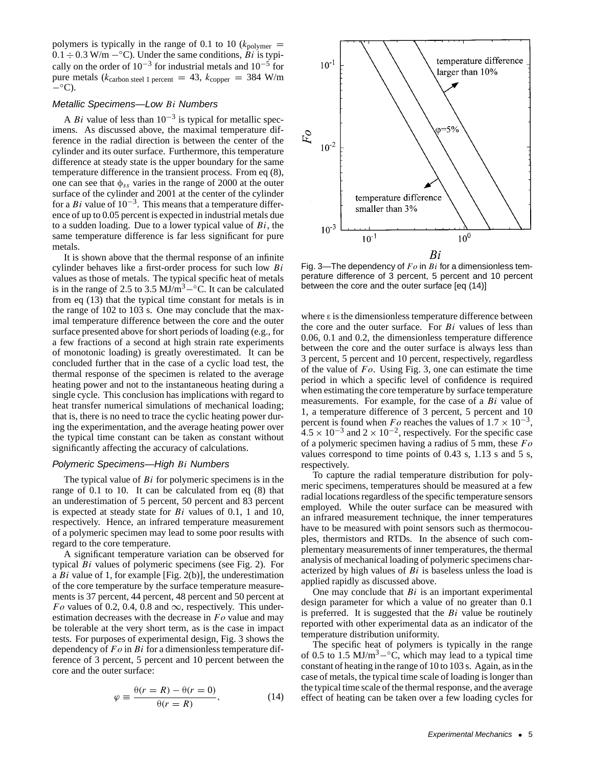polymers is typically in the range of 0.1 to 10 ( $k_{\text{polymer}} =$  $0.1 \div 0.3$  W/m  $-°C$ ). Under the same conditions,  $\overline{Bi}$  is typically on the order of  $10^{-3}$  for industrial metals and  $10^{-5}$  for pure metals ( $k_{\text{carbon steel 1 percent}} = 43$ ,  $k_{\text{copper}} = 384 \text{ W/m}$  $-°C$ ).

# Metallic Specimens—Low Bi Numbers

A Bi value of less than  $10^{-3}$  is typical for metallic specimens. As discussed above, the maximal temperature difference in the radial direction is between the center of the cylinder and its outer surface. Furthermore, this temperature difference at steady state is the upper boundary for the same temperature difference in the transient process. From eq (8), one can see that  $\phi_{ss}$  varies in the range of 2000 at the outer surface of the cylinder and 2001 at the center of the cylinder for a Bi value of  $10^{-3}$ . This means that a temperature difference of up to 0.05 percent is expected in industrial metals due to a sudden loading. Due to a lower typical value of  $Bi$ , the same temperature difference is far less significant for pure metals.

It is shown above that the thermal response of an infinite cylinder behaves like a first-order process for such low Bi values as those of metals. The typical specific heat of metals is in the range of 2.5 to 3.5 MJ/m<sup>3</sup> $-\textdegree$ C. It can be calculated from eq (13) that the typical time constant for metals is in the range of 102 to 103 s. One may conclude that the maximal temperature difference between the core and the outer surface presented above for short periods of loading (e.g., for a few fractions of a second at high strain rate experiments of monotonic loading) is greatly overestimated. It can be concluded further that in the case of a cyclic load test, the thermal response of the specimen is related to the average heating power and not to the instantaneous heating during a single cycle. This conclusion has implications with regard to heat transfer numerical simulations of mechanical loading; that is, there is no need to trace the cyclic heating power during the experimentation, and the average heating power over the typical time constant can be taken as constant without significantly affecting the accuracy of calculations.

### Polymeric Specimens—High Bi Numbers

The typical value of  $Bi$  for polymeric specimens is in the range of 0.1 to 10. It can be calculated from eq (8) that an underestimation of 5 percent, 50 percent and 83 percent is expected at steady state for  $Bi$  values of 0.1, 1 and 10, respectively. Hence, an infrared temperature measurement of a polymeric specimen may lead to some poor results with regard to the core temperature.

A significant temperature variation can be observed for typical Bi values of polymeric specimens (see Fig. 2). For a  $Bi$  value of 1, for example [Fig. 2(b)], the underestimation of the core temperature by the surface temperature measurements is 37 percent, 44 percent, 48 percent and 50 percent at Fo values of 0.2, 0.4, 0.8 and  $\infty$ , respectively. This underestimation decreases with the decrease in  $Fo$  value and may be tolerable at the very short term, as is the case in impact tests. For purposes of experimental design, Fig. 3 shows the dependency of  $Fo$  in  $Bi$  for a dimensionless temperature difference of 3 percent, 5 percent and 10 percent between the core and the outer surface:

$$
\varphi \equiv \frac{\theta(r = R) - \theta(r = 0)}{\theta(r = R)},\tag{14}
$$



Fig. 3—The dependency of  $Fo$  in  $Bi$  for a dimensionless temperature difference of 3 percent, 5 percent and 10 percent between the core and the outer surface [eq (14)]

where  $\varepsilon$  is the dimensionless temperature difference between the core and the outer surface. For  $Bi$  values of less than 0.06, 0.1 and 0.2, the dimensionless temperature difference between the core and the outer surface is always less than 3 percent, 5 percent and 10 percent, respectively, regardless of the value of  $Fo$ . Using Fig. 3, one can estimate the time period in which a specific level of confidence is required when estimating the core temperature by surface temperature measurements. For example, for the case of a Bi value of 1, a temperature difference of 3 percent, 5 percent and 10 percent is found when F<sub>o</sub> reaches the values of  $1.7 \times 10^{-3}$ ,  $4.5 \times 10^{-3}$  and  $2 \times 10^{-2}$ , respectively. For the specific case of a polymeric specimen having a radius of 5 mm, these  $Fo$ values correspond to time points of 0.43 s, 1.13 s and 5 s, respectively.

To capture the radial temperature distribution for polymeric specimens, temperatures should be measured at a few radial locations regardless of the specific temperature sensors employed. While the outer surface can be measured with an infrared measurement technique, the inner temperatures have to be measured with point sensors such as thermocouples, thermistors and RTDs. In the absence of such complementary measurements of inner temperatures, the thermal analysis of mechanical loading of polymeric specimens characterized by high values of  $Bi$  is baseless unless the load is applied rapidly as discussed above.

One may conclude that  $Bi$  is an important experimental design parameter for which a value of no greater than 0.1 is preferred. It is suggested that the  $Bi$  value be routinely reported with other experimental data as an indicator of the temperature distribution uniformity.

The specific heat of polymers is typically in the range of 0.5 to 1.5 MJ/m<sup>3</sup> $-$ °C, which may lead to a typical time constant of heating in the range of 10 to 103 s. Again, as in the case of metals, the typical time scale of loading is longer than the typical time scale of the thermal response, and the average effect of heating can be taken over a few loading cycles for